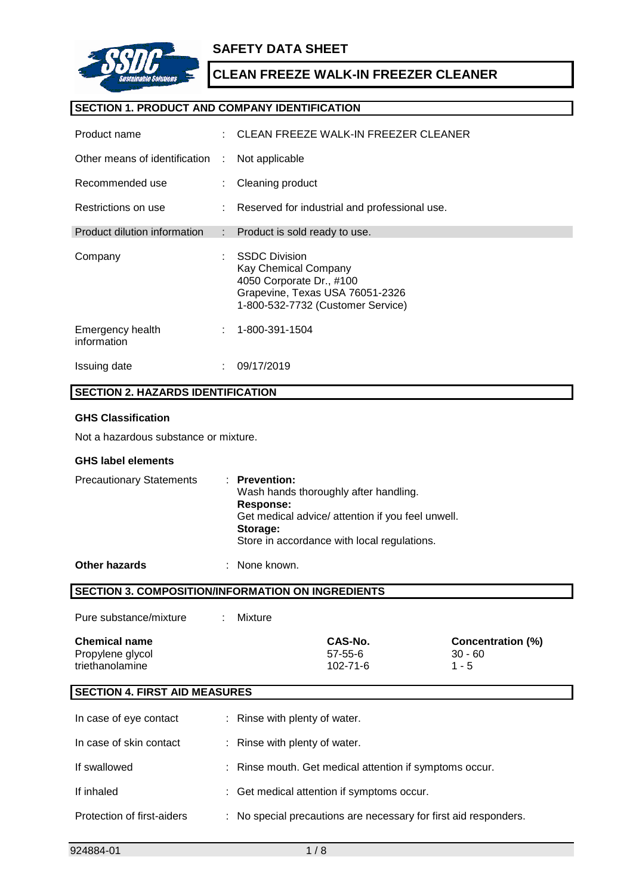

## **SAFETY DATA SHEET**

## **CLEAN FREEZE WALK-IN FREEZER CLEANER**

### **SECTION 1. PRODUCT AND COMPANY IDENTIFICATION**

| Product name                    |    | CLEAN FREEZE WALK-IN FREEZER CLEANER                                                                                                             |
|---------------------------------|----|--------------------------------------------------------------------------------------------------------------------------------------------------|
| Other means of identification   | ÷  | Not applicable                                                                                                                                   |
| Recommended use                 |    | Cleaning product                                                                                                                                 |
| Restrictions on use             |    | : Reserved for industrial and professional use.                                                                                                  |
| Product dilution information    |    | : Product is sold ready to use.                                                                                                                  |
| Company                         | ÷  | <b>SSDC Division</b><br>Kay Chemical Company<br>4050 Corporate Dr., #100<br>Grapevine, Texas USA 76051-2326<br>1-800-532-7732 (Customer Service) |
| Emergency health<br>information |    | 1-800-391-1504                                                                                                                                   |
| Issuing date                    | ٠. | 09/17/2019                                                                                                                                       |

## **SECTION 2. HAZARDS IDENTIFICATION**

#### **GHS Classification**

Not a hazardous substance or mixture.

#### **GHS label elements**

| <b>Precautionary Statements</b> | $:$ Prevention:<br>Wash hands thoroughly after handling.<br>Response:<br>Get medical advice/ attention if you feel unwell.<br>Storage: |
|---------------------------------|----------------------------------------------------------------------------------------------------------------------------------------|
|                                 | Store in accordance with local regulations.                                                                                            |
|                                 |                                                                                                                                        |

**Other hazards** : None known.

**SECTION 3. COMPOSITION/INFORMATION ON INGREDIENTS**

| Pure substance/mixture |  | Mixture |
|------------------------|--|---------|
|------------------------|--|---------|

| <b>Chemical name</b> | CAS-No.        | <b>Concentration (%)</b> |
|----------------------|----------------|--------------------------|
| Propylene glycol     | $57 - 55 - 6$  | $30 - 60$                |
| triethanolamine      | $102 - 71 - 6$ | $1 - 5$                  |

### **SECTION 4. FIRST AID MEASURES**

| In case of eye contact     | : Rinse with plenty of water.                                    |
|----------------------------|------------------------------------------------------------------|
| In case of skin contact    | : Rinse with plenty of water.                                    |
| If swallowed               | : Rinse mouth. Get medical attention if symptoms occur.          |
| If inhaled                 | : Get medical attention if symptoms occur.                       |
| Protection of first-aiders | : No special precautions are necessary for first aid responders. |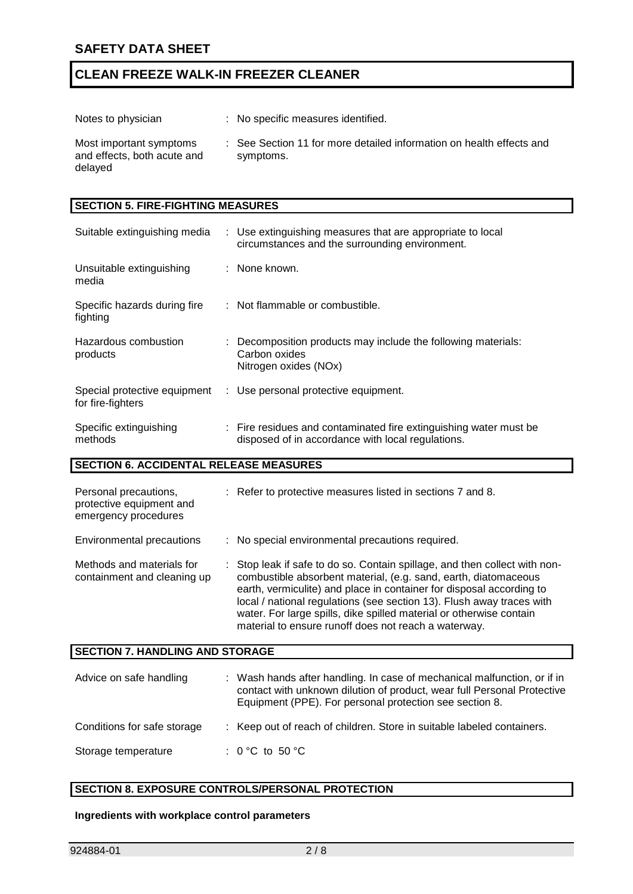| Notes to physician                                                | : No specific measures identified.                                                |
|-------------------------------------------------------------------|-----------------------------------------------------------------------------------|
| Most important symptoms<br>and effects, both acute and<br>delayed | : See Section 11 for more detailed information on health effects and<br>symptoms. |

### **SECTION 5. FIRE-FIGHTING MEASURES**

| Suitable extinguishing media                      | : Use extinguishing measures that are appropriate to local<br>circumstances and the surrounding environment.           |
|---------------------------------------------------|------------------------------------------------------------------------------------------------------------------------|
| Unsuitable extinguishing<br>media                 | : None known.                                                                                                          |
| Specific hazards during fire<br>fighting          | : Not flammable or combustible.                                                                                        |
| Hazardous combustion<br>products                  | : Decomposition products may include the following materials:<br>Carbon oxides<br>Nitrogen oxides (NOx)                |
| Special protective equipment<br>for fire-fighters | : Use personal protective equipment.                                                                                   |
| Specific extinguishing<br>methods                 | : Fire residues and contaminated fire extinguishing water must be<br>disposed of in accordance with local regulations. |

### **SECTION 6. ACCIDENTAL RELEASE MEASURES**

| Personal precautions,<br>protective equipment and<br>emergency procedures | : Refer to protective measures listed in sections 7 and 8.                                                                                                                                                                                                                                                                                                                                                                  |
|---------------------------------------------------------------------------|-----------------------------------------------------------------------------------------------------------------------------------------------------------------------------------------------------------------------------------------------------------------------------------------------------------------------------------------------------------------------------------------------------------------------------|
| <b>Environmental precautions</b>                                          | : No special environmental precautions required.                                                                                                                                                                                                                                                                                                                                                                            |
| Methods and materials for<br>containment and cleaning up                  | Stop leak if safe to do so. Contain spillage, and then collect with non-<br>combustible absorbent material, (e.g. sand, earth, diatomaceous<br>earth, vermiculite) and place in container for disposal according to<br>local / national regulations (see section 13). Flush away traces with<br>water. For large spills, dike spilled material or otherwise contain<br>material to ensure runoff does not reach a waterway. |
| <b>SECTION 7. HANDLING AND STORAGE</b>                                    |                                                                                                                                                                                                                                                                                                                                                                                                                             |
| Advice on safe handling                                                   | : Wash hands after handling. In case of mechanical malfunction, or if in<br>contact with unknown dilution of product, wear full Personal Protective<br>Equipment (PPE). For personal protection see section 8.                                                                                                                                                                                                              |
|                                                                           |                                                                                                                                                                                                                                                                                                                                                                                                                             |

## Conditions for safe storage : Keep out of reach of children. Store in suitable labeled containers.

### Storage temperature : 0 °C to 50 °C

## **SECTION 8. EXPOSURE CONTROLS/PERSONAL PROTECTION**

### **Ingredients with workplace control parameters**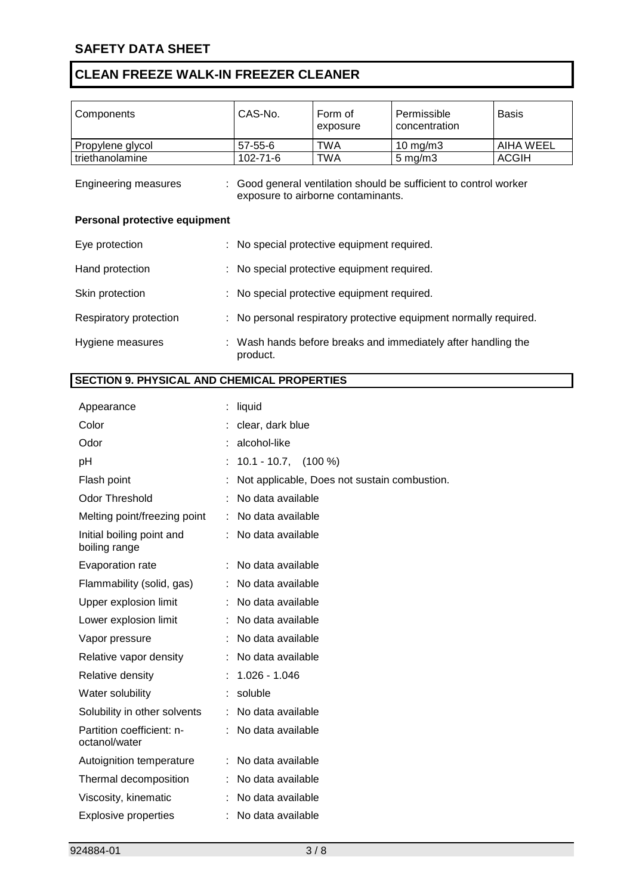| Components                                         |    | CAS-No.                                     | Form of<br>exposure                          | Permissible<br>concentration                                    | <b>Basis</b>     |
|----------------------------------------------------|----|---------------------------------------------|----------------------------------------------|-----------------------------------------------------------------|------------------|
| Propylene glycol                                   |    | $57 - 55 - 6$                               | <b>TWA</b>                                   | 10 mg/m3                                                        | <b>AIHA WEEL</b> |
| triethanolamine                                    |    | 102-71-6                                    | <b>TWA</b>                                   | $5$ mg/m $3$                                                    | <b>ACGIH</b>     |
| <b>Engineering measures</b>                        |    |                                             | exposure to airborne contaminants.           | Good general ventilation should be sufficient to control worker |                  |
| Personal protective equipment                      |    |                                             |                                              |                                                                 |                  |
| Eye protection                                     |    | : No special protective equipment required. |                                              |                                                                 |                  |
| Hand protection                                    |    |                                             | No special protective equipment required.    |                                                                 |                  |
| Skin protection                                    |    |                                             | No special protective equipment required.    |                                                                 |                  |
| Respiratory protection                             | ÷  |                                             |                                              | No personal respiratory protective equipment normally required. |                  |
| Hygiene measures                                   |    | product.                                    |                                              | : Wash hands before breaks and immediately after handling the   |                  |
| <b>SECTION 9. PHYSICAL AND CHEMICAL PROPERTIES</b> |    |                                             |                                              |                                                                 |                  |
|                                                    |    |                                             |                                              |                                                                 |                  |
| Appearance                                         |    | liquid                                      |                                              |                                                                 |                  |
| Color                                              |    | clear, dark blue                            |                                              |                                                                 |                  |
| Odor                                               |    | alcohol-like                                |                                              |                                                                 |                  |
| pH                                                 |    | $10.1 - 10.7$ , $(100\%)$                   |                                              |                                                                 |                  |
| Flash point                                        |    |                                             | Not applicable, Does not sustain combustion. |                                                                 |                  |
| <b>Odor Threshold</b>                              |    | No data available                           |                                              |                                                                 |                  |
| Melting point/freezing point                       |    | No data available                           |                                              |                                                                 |                  |
| Initial boiling point and<br>boiling range         |    | No data available                           |                                              |                                                                 |                  |
| Evaporation rate                                   |    | No data available                           |                                              |                                                                 |                  |
| Flammability (solid, gas)                          |    | No data available                           |                                              |                                                                 |                  |
| Upper explosion limit                              |    | No data available                           |                                              |                                                                 |                  |
| Lower explosion limit                              |    | No data available                           |                                              |                                                                 |                  |
| Vapor pressure                                     |    | No data available                           |                                              |                                                                 |                  |
| Relative vapor density                             |    | No data available                           |                                              |                                                                 |                  |
| Relative density                                   |    | 1.026 - 1.046                               |                                              |                                                                 |                  |
| Water solubility                                   |    | soluble                                     |                                              |                                                                 |                  |
| Solubility in other solvents                       |    | No data available                           |                                              |                                                                 |                  |
| Partition coefficient: n-<br>octanol/water         |    | No data available                           |                                              |                                                                 |                  |
| Autoignition temperature                           |    | No data available                           |                                              |                                                                 |                  |
| Thermal decomposition                              |    | No data available                           |                                              |                                                                 |                  |
| Viscosity, kinematic                               |    | No data available                           |                                              |                                                                 |                  |
| <b>Explosive properties</b>                        | ÷. | No data available                           |                                              |                                                                 |                  |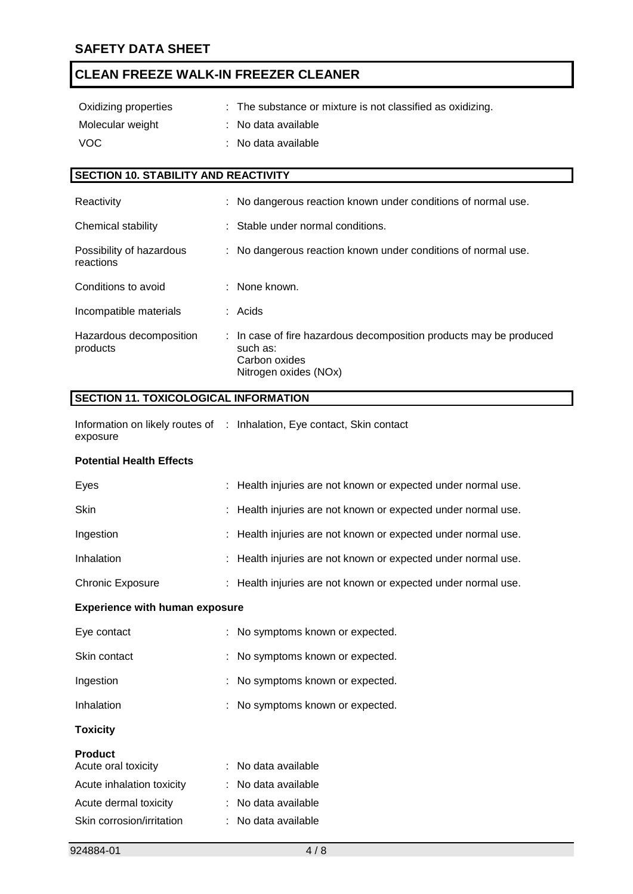| Oxidizing properties | : The substance or mixture is not classified as oxidizing. |
|----------------------|------------------------------------------------------------|
| Molecular weight     | : No data available                                        |
| VOC.                 | : No data available                                        |

## **SECTION 10. STABILITY AND REACTIVITY**

| Reactivity                            | : No dangerous reaction known under conditions of normal use.                                                            |
|---------------------------------------|--------------------------------------------------------------------------------------------------------------------------|
| Chemical stability                    | : Stable under normal conditions.                                                                                        |
| Possibility of hazardous<br>reactions | : No dangerous reaction known under conditions of normal use.                                                            |
| Conditions to avoid                   | : None known.                                                                                                            |
| Incompatible materials                | $:$ Acids                                                                                                                |
| Hazardous decomposition<br>products   | : In case of fire hazardous decomposition products may be produced<br>such as:<br>Carbon oxides<br>Nitrogen oxides (NOx) |

### **SECTION 11. TOXICOLOGICAL INFORMATION**

Information on likely routes of : Inhalation, Eye contact, Skin contact exposure

### **Potential Health Effects**

| : Health injuries are not known or expected under normal use. |
|---------------------------------------------------------------|
| : Health injuries are not known or expected under normal use. |
| : Health injuries are not known or expected under normal use. |
| : Health injuries are not known or expected under normal use. |
| : Health injuries are not known or expected under normal use. |
|                                                               |

#### **Experience with human exposure**

| Inhalation   | : No symptoms known or expected. |
|--------------|----------------------------------|
| Ingestion    | : No symptoms known or expected. |
| Skin contact | : No symptoms known or expected. |
| Eye contact  | : No symptoms known or expected. |

## **Toxicity**

#### **Product**

| Acute oral toxicity       | : No data available |
|---------------------------|---------------------|
| Acute inhalation toxicity | : No data available |
| Acute dermal toxicity     | : No data available |
| Skin corrosion/irritation | : No data available |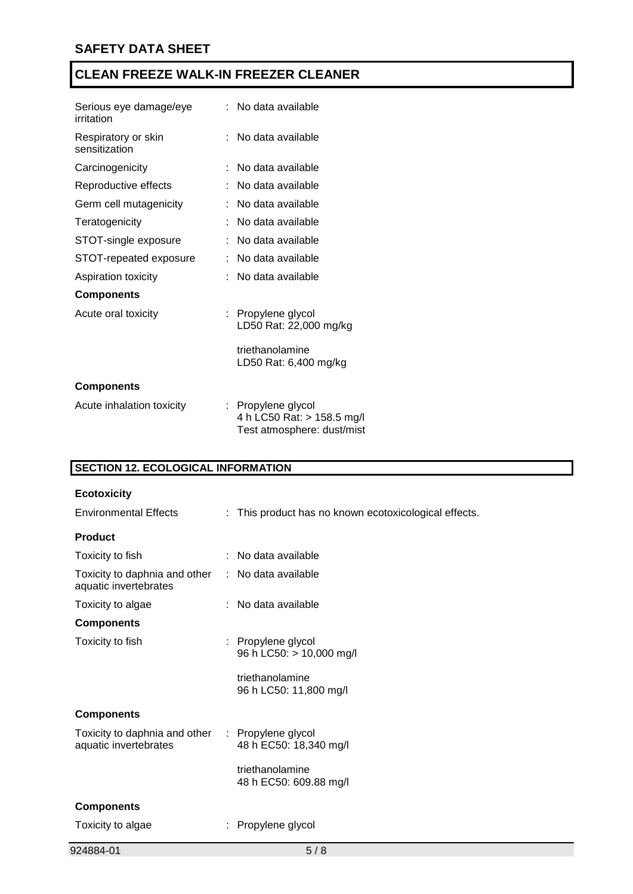| Serious eye damage/eye<br>irritation | :   No data available                                                          |
|--------------------------------------|--------------------------------------------------------------------------------|
| Respiratory or skin<br>sensitization | : No data available                                                            |
| Carcinogenicity                      | No data available                                                              |
| Reproductive effects                 | No data available                                                              |
| Germ cell mutagenicity               | No data available                                                              |
| Teratogenicity                       | No data available                                                              |
| STOT-single exposure                 | No data available                                                              |
| STOT-repeated exposure               | No data available                                                              |
| Aspiration toxicity                  | No data available                                                              |
| <b>Components</b>                    |                                                                                |
| Acute oral toxicity                  | : Propylene glycol<br>LD50 Rat: 22,000 mg/kg                                   |
|                                      | triethanolamine<br>LD50 Rat: 6,400 mg/kg                                       |
| <b>Components</b>                    |                                                                                |
| Acute inhalation toxicity            | : Propylene glycol<br>4 h LC50 Rat: > 158.5 mg/l<br>Test atmosphere: dust/mist |

## **SECTION 12. ECOLOGICAL INFORMATION**

| <b>Ecotoxicity</b>                                                        |                                                       |
|---------------------------------------------------------------------------|-------------------------------------------------------|
| <b>Environmental Effects</b>                                              | : This product has no known ecotoxicological effects. |
| <b>Product</b>                                                            |                                                       |
| Toxicity to fish                                                          | : No data available                                   |
| Toxicity to daphnia and other<br>aquatic invertebrates                    | : No data available                                   |
| Toxicity to algae                                                         | : No data available                                   |
| <b>Components</b>                                                         |                                                       |
| Toxicity to fish                                                          | : Propylene glycol<br>96 h LC50: > 10,000 mg/l        |
|                                                                           | triethanolamine<br>96 h LC50: 11,800 mg/l             |
| <b>Components</b>                                                         |                                                       |
| Toxicity to daphnia and other : Propylene glycol<br>aquatic invertebrates | 48 h EC50: 18,340 mg/l                                |
|                                                                           | triethanolamine<br>48 h EC50: 609.88 mg/l             |
| <b>Components</b>                                                         |                                                       |
| Toxicity to algae                                                         | Propylene glycol                                      |
| 924884-01                                                                 | 5/8                                                   |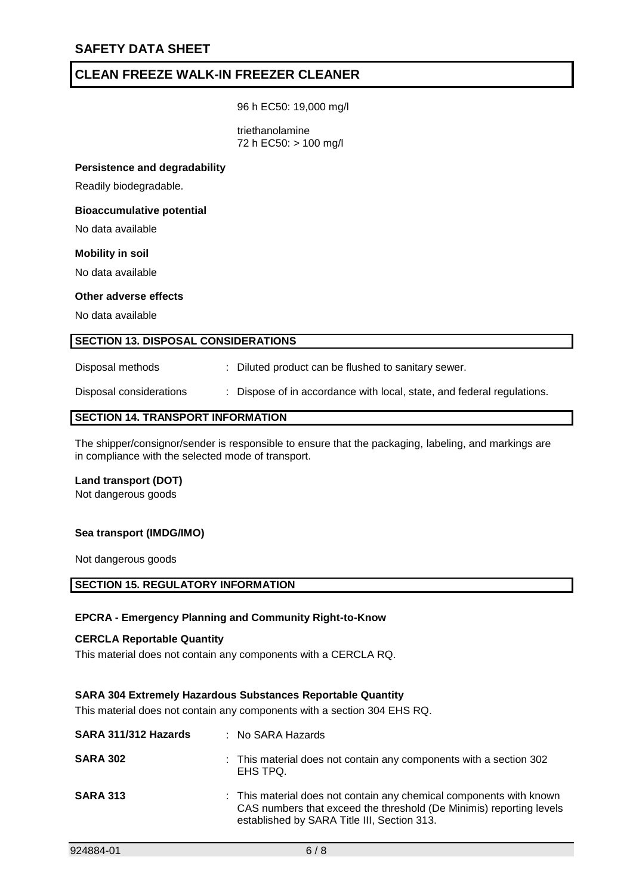96 h EC50: 19,000 mg/l

triethanolamine 72 h EC50: > 100 mg/l

#### **Persistence and degradability**

Readily biodegradable.

#### **Bioaccumulative potential**

No data available

#### **Mobility in soil**

No data available

### **Other adverse effects**

No data available

#### **SECTION 13. DISPOSAL CONSIDERATIONS**

Disposal methods : Diluted product can be flushed to sanitary sewer.

Disposal considerations : Dispose of in accordance with local, state, and federal regulations.

#### **SECTION 14. TRANSPORT INFORMATION**

The shipper/consignor/sender is responsible to ensure that the packaging, labeling, and markings are in compliance with the selected mode of transport.

#### **Land transport (DOT)**

Not dangerous goods

#### **Sea transport (IMDG/IMO)**

Not dangerous goods

#### **SECTION 15. REGULATORY INFORMATION**

#### **EPCRA - Emergency Planning and Community Right-to-Know**

#### **CERCLA Reportable Quantity**

This material does not contain any components with a CERCLA RQ.

#### **SARA 304 Extremely Hazardous Substances Reportable Quantity**

This material does not contain any components with a section 304 EHS RQ.

| SARA 311/312 Hazards | : No SARA Hazards                                                                                                                                                                         |
|----------------------|-------------------------------------------------------------------------------------------------------------------------------------------------------------------------------------------|
| <b>SARA 302</b>      | : This material does not contain any components with a section 302<br>EHS TPQ.                                                                                                            |
| <b>SARA 313</b>      | : This material does not contain any chemical components with known<br>CAS numbers that exceed the threshold (De Minimis) reporting levels<br>established by SARA Title III, Section 313. |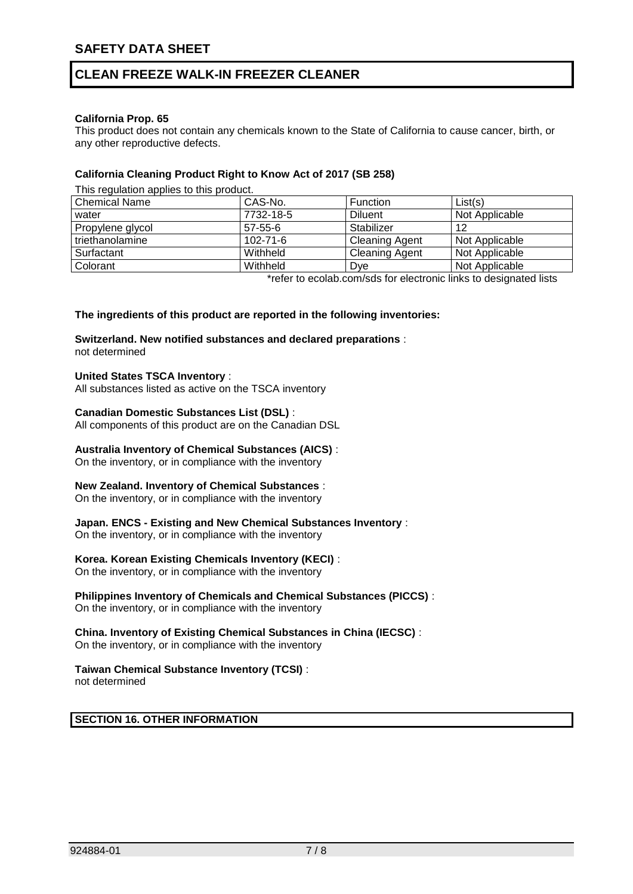### **California Prop. 65**

This product does not contain any chemicals known to the State of California to cause cancer, birth, or any other reproductive defects.

### **California Cleaning Product Right to Know Act of 2017 (SB 258)**

This regulation applies to this product.

| <b>Chemical Name</b> | CAS-No.        | <b>Function</b>       | List(s)                                                                           |
|----------------------|----------------|-----------------------|-----------------------------------------------------------------------------------|
| water                | 7732-18-5      | <b>Diluent</b>        | Not Applicable                                                                    |
| Propylene glycol     | $57 - 55 - 6$  | Stabilizer            | 12                                                                                |
| triethanolamine      | $102 - 71 - 6$ | <b>Cleaning Agent</b> | Not Applicable                                                                    |
| Surfactant           | Withheld       | <b>Cleaning Agent</b> | Not Applicable                                                                    |
| Colorant             | Withheld       | Dye                   | Not Applicable                                                                    |
|                      | . .            | .                     | $\mathbf{r}$ and $\mathbf{r}$ are a set of $\mathbf{r}$ . The set of $\mathbf{r}$ |

\*refer to ecolab.com/sds for electronic links to designated lists

#### **The ingredients of this product are reported in the following inventories:**

## **Switzerland. New notified substances and declared preparations** :

not determined

### **United States TSCA Inventory** :

All substances listed as active on the TSCA inventory

#### **Canadian Domestic Substances List (DSL)** :

All components of this product are on the Canadian DSL

#### **Australia Inventory of Chemical Substances (AICS)** :

On the inventory, or in compliance with the inventory

#### **New Zealand. Inventory of Chemical Substances** :

On the inventory, or in compliance with the inventory

#### **Japan. ENCS - Existing and New Chemical Substances Inventory** :

On the inventory, or in compliance with the inventory

### **Korea. Korean Existing Chemicals Inventory (KECI)** :

On the inventory, or in compliance with the inventory

# **Philippines Inventory of Chemicals and Chemical Substances (PICCS)** :

On the inventory, or in compliance with the inventory

## **China. Inventory of Existing Chemical Substances in China (IECSC)** :

On the inventory, or in compliance with the inventory

### **Taiwan Chemical Substance Inventory (TCSI)** :

not determined

### **SECTION 16. OTHER INFORMATION**